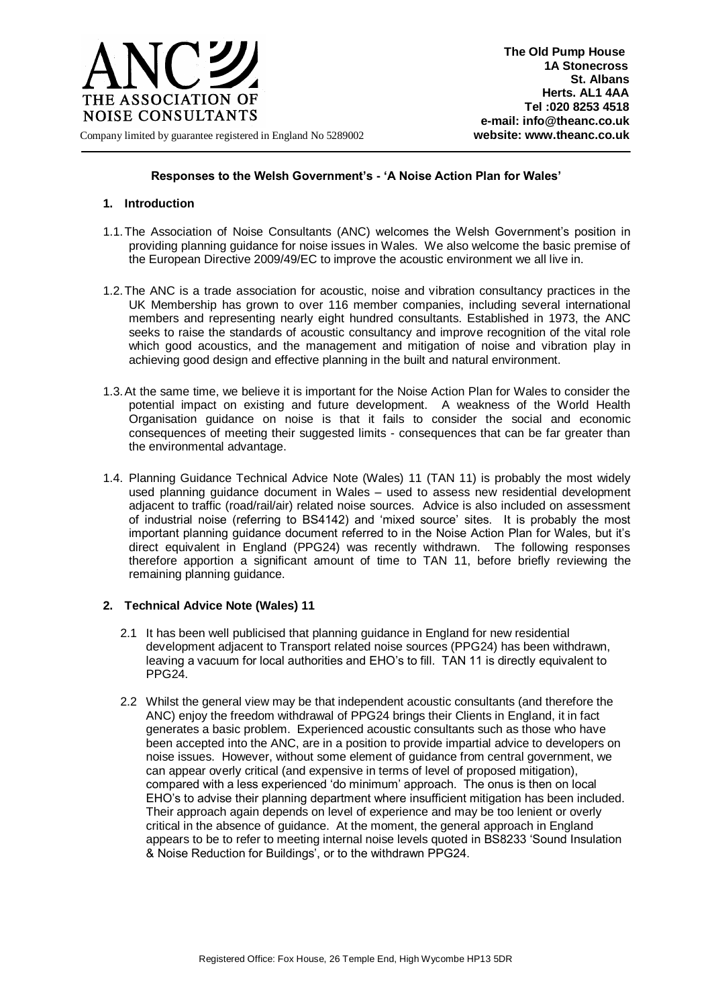

## **Responses to the Welsh Government's - 'A Noise Action Plan for Wales'**

## **1. Introduction**

- 1.1.The Association of Noise Consultants (ANC) welcomes the Welsh Government's position in providing planning guidance for noise issues in Wales. We also welcome the basic premise of the European Directive 2009/49/EC to improve the acoustic environment we all live in.
- 1.2.The ANC is a trade association for acoustic, noise and vibration consultancy practices in the UK Membership has grown to over 116 member companies, including several international members and representing nearly eight hundred consultants. Established in 1973, the ANC seeks to raise the standards of acoustic consultancy and improve recognition of the vital role which good acoustics, and the management and mitigation of noise and vibration play in achieving good design and effective planning in the built and natural environment.
- 1.3.At the same time, we believe it is important for the Noise Action Plan for Wales to consider the potential impact on existing and future development. A weakness of the World Health Organisation guidance on noise is that it fails to consider the social and economic consequences of meeting their suggested limits - consequences that can be far greater than the environmental advantage.
- 1.4. Planning Guidance Technical Advice Note (Wales) 11 (TAN 11) is probably the most widely used planning guidance document in Wales – used to assess new residential development adjacent to traffic (road/rail/air) related noise sources. Advice is also included on assessment of industrial noise (referring to BS4142) and 'mixed source' sites. It is probably the most important planning guidance document referred to in the Noise Action Plan for Wales, but it's direct equivalent in England (PPG24) was recently withdrawn. The following responses therefore apportion a significant amount of time to TAN 11, before briefly reviewing the remaining planning guidance.

#### **2. Technical Advice Note (Wales) 11**

- 2.1 It has been well publicised that planning guidance in England for new residential development adjacent to Transport related noise sources (PPG24) has been withdrawn, leaving a vacuum for local authorities and EHO's to fill. TAN 11 is directly equivalent to PPG24.
- 2.2 Whilst the general view may be that independent acoustic consultants (and therefore the ANC) enjoy the freedom withdrawal of PPG24 brings their Clients in England, it in fact generates a basic problem. Experienced acoustic consultants such as those who have been accepted into the ANC, are in a position to provide impartial advice to developers on noise issues. However, without some element of guidance from central government, we can appear overly critical (and expensive in terms of level of proposed mitigation), compared with a less experienced 'do minimum' approach. The onus is then on local EHO's to advise their planning department where insufficient mitigation has been included. Their approach again depends on level of experience and may be too lenient or overly critical in the absence of guidance. At the moment, the general approach in England appears to be to refer to meeting internal noise levels quoted in BS8233 'Sound Insulation & Noise Reduction for Buildings', or to the withdrawn PPG24.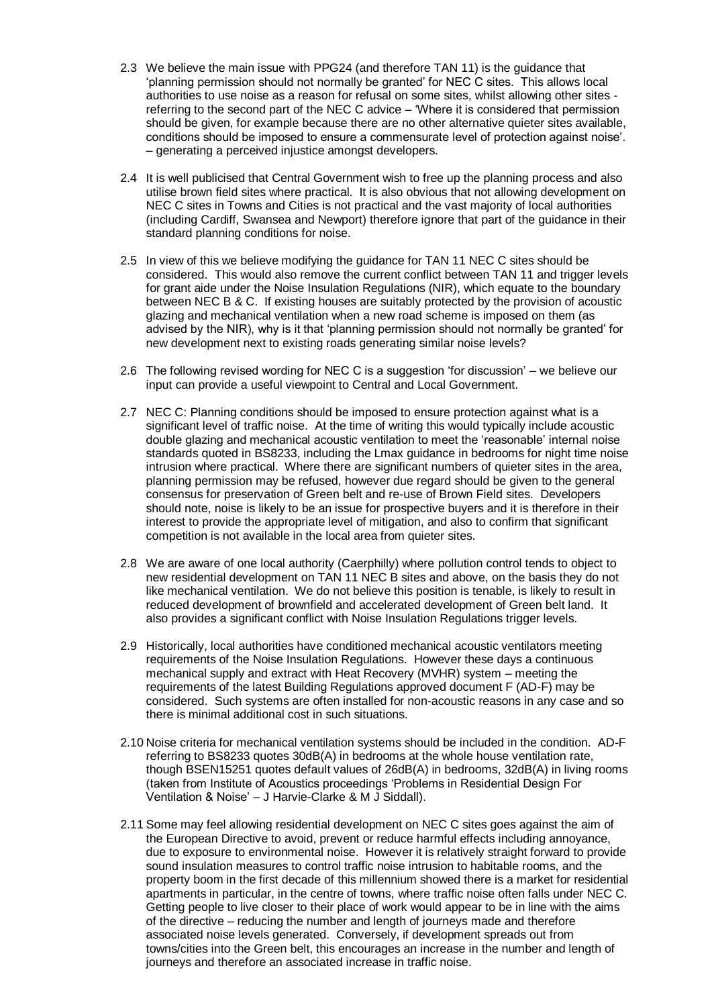- 2.3 We believe the main issue with PPG24 (and therefore TAN 11) is the guidance that 'planning permission should not normally be granted' for NEC C sites. This allows local authorities to use noise as a reason for refusal on some sites, whilst allowing other sites referring to the second part of the NEC C advice – 'Where it is considered that permission should be given, for example because there are no other alternative quieter sites available, conditions should be imposed to ensure a commensurate level of protection against noise'. – generating a perceived injustice amongst developers.
- 2.4 It is well publicised that Central Government wish to free up the planning process and also utilise brown field sites where practical. It is also obvious that not allowing development on NEC C sites in Towns and Cities is not practical and the vast majority of local authorities (including Cardiff, Swansea and Newport) therefore ignore that part of the guidance in their standard planning conditions for noise.
- 2.5 In view of this we believe modifying the guidance for TAN 11 NEC C sites should be considered. This would also remove the current conflict between TAN 11 and trigger levels for grant aide under the Noise Insulation Regulations (NIR), which equate to the boundary between NEC B & C. If existing houses are suitably protected by the provision of acoustic glazing and mechanical ventilation when a new road scheme is imposed on them (as advised by the NIR), why is it that 'planning permission should not normally be granted' for new development next to existing roads generating similar noise levels?
- 2.6 The following revised wording for NEC C is a suggestion 'for discussion' we believe our input can provide a useful viewpoint to Central and Local Government.
- 2.7 NEC C: Planning conditions should be imposed to ensure protection against what is a significant level of traffic noise. At the time of writing this would typically include acoustic double glazing and mechanical acoustic ventilation to meet the 'reasonable' internal noise standards quoted in BS8233, including the Lmax guidance in bedrooms for night time noise intrusion where practical. Where there are significant numbers of quieter sites in the area, planning permission may be refused, however due regard should be given to the general consensus for preservation of Green belt and re-use of Brown Field sites. Developers should note, noise is likely to be an issue for prospective buyers and it is therefore in their interest to provide the appropriate level of mitigation, and also to confirm that significant competition is not available in the local area from quieter sites.
- 2.8 We are aware of one local authority (Caerphilly) where pollution control tends to object to new residential development on TAN 11 NEC B sites and above, on the basis they do not like mechanical ventilation. We do not believe this position is tenable, is likely to result in reduced development of brownfield and accelerated development of Green belt land. It also provides a significant conflict with Noise Insulation Regulations trigger levels.
- 2.9 Historically, local authorities have conditioned mechanical acoustic ventilators meeting requirements of the Noise Insulation Regulations. However these days a continuous mechanical supply and extract with Heat Recovery (MVHR) system – meeting the requirements of the latest Building Regulations approved document F (AD-F) may be considered. Such systems are often installed for non-acoustic reasons in any case and so there is minimal additional cost in such situations.
- 2.10 Noise criteria for mechanical ventilation systems should be included in the condition. AD-F referring to BS8233 quotes 30dB(A) in bedrooms at the whole house ventilation rate, though BSEN15251 quotes default values of 26dB(A) in bedrooms, 32dB(A) in living rooms (taken from Institute of Acoustics proceedings 'Problems in Residential Design For Ventilation & Noise' – J Harvie-Clarke & M J Siddall).
- 2.11 Some may feel allowing residential development on NEC C sites goes against the aim of the European Directive to avoid, prevent or reduce harmful effects including annoyance, due to exposure to environmental noise. However it is relatively straight forward to provide sound insulation measures to control traffic noise intrusion to habitable rooms, and the property boom in the first decade of this millennium showed there is a market for residential apartments in particular, in the centre of towns, where traffic noise often falls under NEC C. Getting people to live closer to their place of work would appear to be in line with the aims of the directive – reducing the number and length of journeys made and therefore associated noise levels generated. Conversely, if development spreads out from towns/cities into the Green belt, this encourages an increase in the number and length of journeys and therefore an associated increase in traffic noise.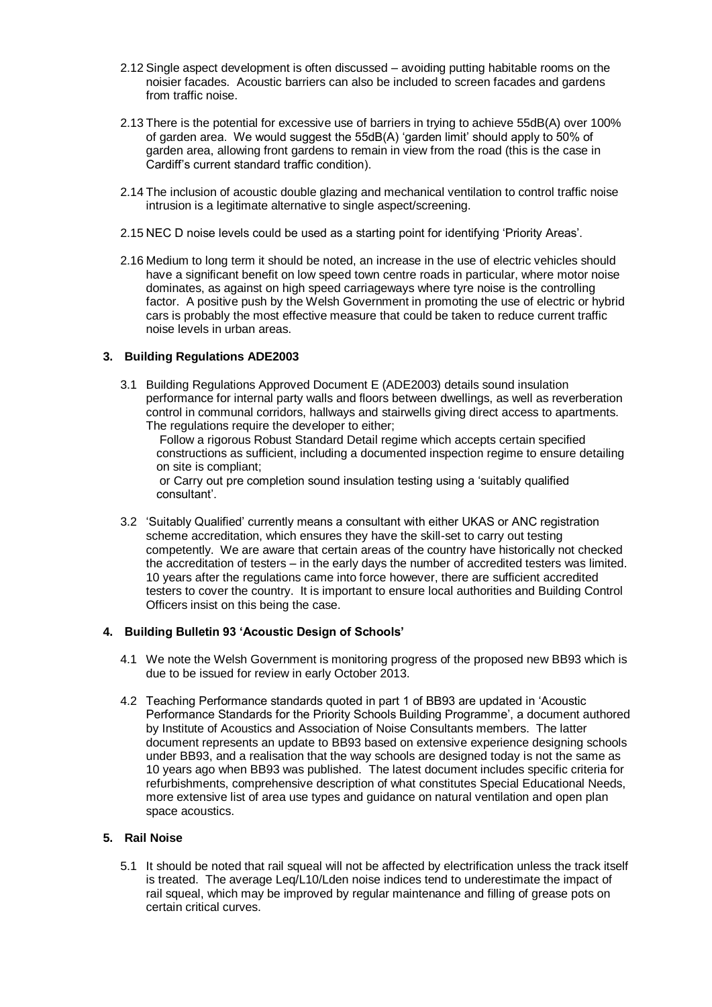- 2.12 Single aspect development is often discussed avoiding putting habitable rooms on the noisier facades. Acoustic barriers can also be included to screen facades and gardens from traffic noise.
- 2.13 There is the potential for excessive use of barriers in trying to achieve 55dB(A) over 100% of garden area. We would suggest the 55dB(A) 'garden limit' should apply to 50% of garden area, allowing front gardens to remain in view from the road (this is the case in Cardiff's current standard traffic condition).
- 2.14 The inclusion of acoustic double glazing and mechanical ventilation to control traffic noise intrusion is a legitimate alternative to single aspect/screening.
- 2.15 NEC D noise levels could be used as a starting point for identifying 'Priority Areas'.
- 2.16 Medium to long term it should be noted, an increase in the use of electric vehicles should have a significant benefit on low speed town centre roads in particular, where motor noise dominates, as against on high speed carriageways where tyre noise is the controlling factor. A positive push by the Welsh Government in promoting the use of electric or hybrid cars is probably the most effective measure that could be taken to reduce current traffic noise levels in urban areas.

## **3. Building Regulations ADE2003**

3.1 Building Regulations Approved Document E (ADE2003) details sound insulation performance for internal party walls and floors between dwellings, as well as reverberation control in communal corridors, hallways and stairwells giving direct access to apartments. The regulations require the developer to either;

Follow a rigorous Robust Standard Detail regime which accepts certain specified constructions as sufficient, including a documented inspection regime to ensure detailing on site is compliant;

or Carry out pre completion sound insulation testing using a 'suitably qualified consultant'.

3.2 'Suitably Qualified' currently means a consultant with either UKAS or ANC registration scheme accreditation, which ensures they have the skill-set to carry out testing competently. We are aware that certain areas of the country have historically not checked the accreditation of testers – in the early days the number of accredited testers was limited. 10 years after the regulations came into force however, there are sufficient accredited testers to cover the country. It is important to ensure local authorities and Building Control Officers insist on this being the case.

#### **4. Building Bulletin 93 'Acoustic Design of Schools'**

- 4.1 We note the Welsh Government is monitoring progress of the proposed new BB93 which is due to be issued for review in early October 2013.
- 4.2 Teaching Performance standards quoted in part 1 of BB93 are updated in 'Acoustic Performance Standards for the Priority Schools Building Programme', a document authored by Institute of Acoustics and Association of Noise Consultants members. The latter document represents an update to BB93 based on extensive experience designing schools under BB93, and a realisation that the way schools are designed today is not the same as 10 years ago when BB93 was published. The latest document includes specific criteria for refurbishments, comprehensive description of what constitutes Special Educational Needs, more extensive list of area use types and guidance on natural ventilation and open plan space acoustics.

# **5. Rail Noise**

5.1 It should be noted that rail squeal will not be affected by electrification unless the track itself is treated. The average Leq/L10/Lden noise indices tend to underestimate the impact of rail squeal, which may be improved by regular maintenance and filling of grease pots on certain critical curves.